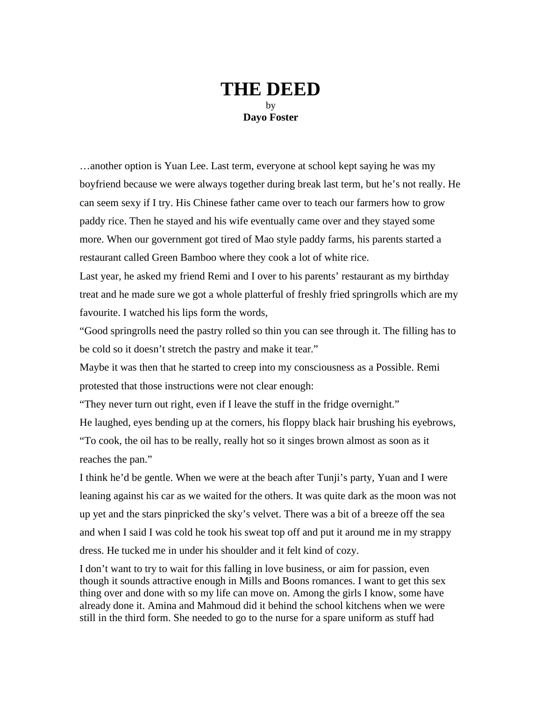## **THE DEED** by **Dayo Foster**

…another option is Yuan Lee. Last term, everyone at school kept saying he was my boyfriend because we were always together during break last term, but he's not really. He can seem sexy if I try. His Chinese father came over to teach our farmers how to grow paddy rice. Then he stayed and his wife eventually came over and they stayed some more. When our government got tired of Mao style paddy farms, his parents started a restaurant called Green Bamboo where they cook a lot of white rice.

Last year, he asked my friend Remi and I over to his parents' restaurant as my birthday treat and he made sure we got a whole platterful of freshly fried springrolls which are my favourite. I watched his lips form the words,

"Good springrolls need the pastry rolled so thin you can see through it. The filling has to be cold so it doesn't stretch the pastry and make it tear."

Maybe it was then that he started to creep into my consciousness as a Possible. Remi protested that those instructions were not clear enough:

"They never turn out right, even if I leave the stuff in the fridge overnight."

He laughed, eyes bending up at the corners, his floppy black hair brushing his eyebrows, "To cook, the oil has to be really, really hot so it singes brown almost as soon as it reaches the pan."

I think he'd be gentle. When we were at the beach after Tunji's party, Yuan and I were leaning against his car as we waited for the others. It was quite dark as the moon was not up yet and the stars pinpricked the sky's velvet. There was a bit of a breeze off the sea and when I said I was cold he took his sweat top off and put it around me in my strappy dress. He tucked me in under his shoulder and it felt kind of cozy.

I don't want to try to wait for this falling in love business, or aim for passion, even though it sounds attractive enough in Mills and Boons romances. I want to get this sex thing over and done with so my life can move on. Among the girls I know, some have already done it. Amina and Mahmoud did it behind the school kitchens when we were still in the third form. She needed to go to the nurse for a spare uniform as stuff had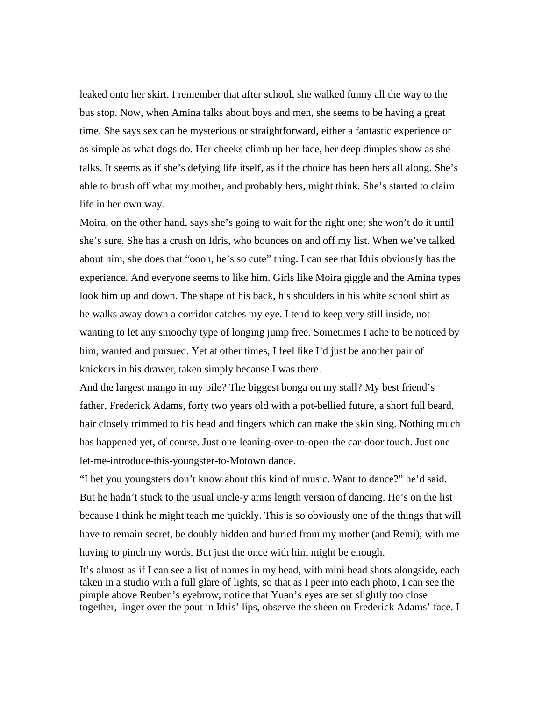leaked onto her skirt. I remember that after school, she walked funny all the way to the bus stop. Now, when Amina talks about boys and men, she seems to be having a great time. She says sex can be mysterious or straightforward, either a fantastic experience or as simple as what dogs do. Her cheeks climb up her face, her deep dimples show as she talks. It seems as if she's defying life itself, as if the choice has been hers all along. She's able to brush off what my mother, and probably hers, might think. She's started to claim life in her own way.

Moira, on the other hand, says she's going to wait for the right one; she won't do it until she's sure. She has a crush on Idris, who bounces on and off my list. When we've talked about him, she does that "oooh, he's so cute" thing. I can see that Idris obviously has the experience. And everyone seems to like him. Girls like Moira giggle and the Amina types look him up and down. The shape of his back, his shoulders in his white school shirt as he walks away down a corridor catches my eye. I tend to keep very still inside, not wanting to let any smoochy type of longing jump free. Sometimes I ache to be noticed by him, wanted and pursued. Yet at other times, I feel like I'd just be another pair of knickers in his drawer, taken simply because I was there.

And the largest mango in my pile? The biggest bonga on my stall? My best friend's father, Frederick Adams, forty two years old with a pot-bellied future, a short full beard, hair closely trimmed to his head and fingers which can make the skin sing. Nothing much has happened yet, of course. Just one leaning-over-to-open-the car-door touch. Just one let-me-introduce-this-youngster-to-Motown dance.

"I bet you youngsters don't know about this kind of music. Want to dance?" he'd said. But he hadn't stuck to the usual uncle-y arms length version of dancing. He's on the list because I think he might teach me quickly. This is so obviously one of the things that will have to remain secret, be doubly hidden and buried from my mother (and Remi), with me having to pinch my words. But just the once with him might be enough.

It's almost as if I can see a list of names in my head, with mini head shots alongside, each taken in a studio with a full glare of lights, so that as I peer into each photo, I can see the pimple above Reuben's eyebrow, notice that Yuan's eyes are set slightly too close together, linger over the pout in Idris' lips, observe the sheen on Frederick Adams' face. I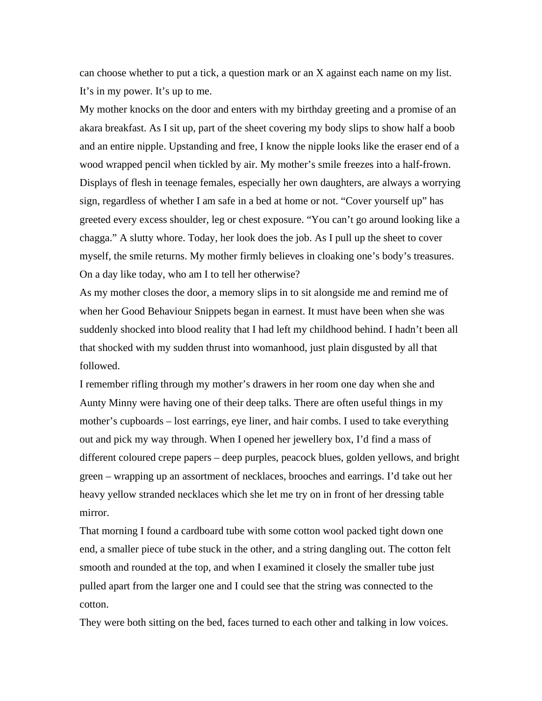can choose whether to put a tick, a question mark or an X against each name on my list. It's in my power. It's up to me.

My mother knocks on the door and enters with my birthday greeting and a promise of an akara breakfast. As I sit up, part of the sheet covering my body slips to show half a boob and an entire nipple. Upstanding and free, I know the nipple looks like the eraser end of a wood wrapped pencil when tickled by air. My mother's smile freezes into a half-frown. Displays of flesh in teenage females, especially her own daughters, are always a worrying sign, regardless of whether I am safe in a bed at home or not. "Cover yourself up" has greeted every excess shoulder, leg or chest exposure. "You can't go around looking like a chagga." A slutty whore. Today, her look does the job. As I pull up the sheet to cover myself, the smile returns. My mother firmly believes in cloaking one's body's treasures. On a day like today, who am I to tell her otherwise?

As my mother closes the door, a memory slips in to sit alongside me and remind me of when her Good Behaviour Snippets began in earnest. It must have been when she was suddenly shocked into blood reality that I had left my childhood behind. I hadn't been all that shocked with my sudden thrust into womanhood, just plain disgusted by all that followed.

I remember rifling through my mother's drawers in her room one day when she and Aunty Minny were having one of their deep talks. There are often useful things in my mother's cupboards – lost earrings, eye liner, and hair combs. I used to take everything out and pick my way through. When I opened her jewellery box, I'd find a mass of different coloured crepe papers – deep purples, peacock blues, golden yellows, and bright green – wrapping up an assortment of necklaces, brooches and earrings. I'd take out her heavy yellow stranded necklaces which she let me try on in front of her dressing table mirror.

That morning I found a cardboard tube with some cotton wool packed tight down one end, a smaller piece of tube stuck in the other, and a string dangling out. The cotton felt smooth and rounded at the top, and when I examined it closely the smaller tube just pulled apart from the larger one and I could see that the string was connected to the cotton.

They were both sitting on the bed, faces turned to each other and talking in low voices.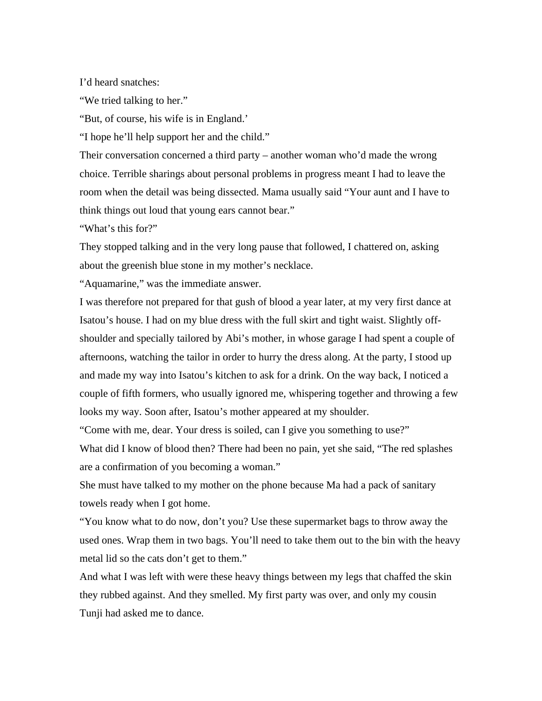I'd heard snatches:

"We tried talking to her."

"But, of course, his wife is in England.'

"I hope he'll help support her and the child."

Their conversation concerned a third party – another woman who'd made the wrong choice. Terrible sharings about personal problems in progress meant I had to leave the room when the detail was being dissected. Mama usually said "Your aunt and I have to think things out loud that young ears cannot bear."

"What's this for?"

They stopped talking and in the very long pause that followed, I chattered on, asking about the greenish blue stone in my mother's necklace.

"Aquamarine," was the immediate answer.

I was therefore not prepared for that gush of blood a year later, at my very first dance at Isatou's house. I had on my blue dress with the full skirt and tight waist. Slightly offshoulder and specially tailored by Abi's mother, in whose garage I had spent a couple of afternoons, watching the tailor in order to hurry the dress along. At the party, I stood up and made my way into Isatou's kitchen to ask for a drink. On the way back, I noticed a couple of fifth formers, who usually ignored me, whispering together and throwing a few looks my way. Soon after, Isatou's mother appeared at my shoulder.

"Come with me, dear. Your dress is soiled, can I give you something to use?"

What did I know of blood then? There had been no pain, yet she said, "The red splashes are a confirmation of you becoming a woman."

She must have talked to my mother on the phone because Ma had a pack of sanitary towels ready when I got home.

"You know what to do now, don't you? Use these supermarket bags to throw away the used ones. Wrap them in two bags. You'll need to take them out to the bin with the heavy metal lid so the cats don't get to them."

And what I was left with were these heavy things between my legs that chaffed the skin they rubbed against. And they smelled. My first party was over, and only my cousin Tunji had asked me to dance.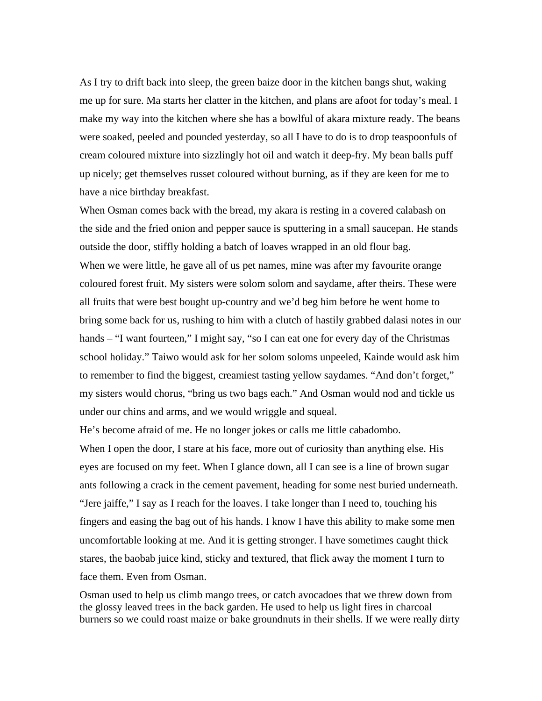As I try to drift back into sleep, the green baize door in the kitchen bangs shut, waking me up for sure. Ma starts her clatter in the kitchen, and plans are afoot for today's meal. I make my way into the kitchen where she has a bowlful of akara mixture ready. The beans were soaked, peeled and pounded yesterday, so all I have to do is to drop teaspoonfuls of cream coloured mixture into sizzlingly hot oil and watch it deep-fry. My bean balls puff up nicely; get themselves russet coloured without burning, as if they are keen for me to have a nice birthday breakfast.

When Osman comes back with the bread, my akara is resting in a covered calabash on the side and the fried onion and pepper sauce is sputtering in a small saucepan. He stands outside the door, stiffly holding a batch of loaves wrapped in an old flour bag. When we were little, he gave all of us pet names, mine was after my favourite orange coloured forest fruit. My sisters were solom solom and saydame, after theirs. These were all fruits that were best bought up-country and we'd beg him before he went home to bring some back for us, rushing to him with a clutch of hastily grabbed dalasi notes in our hands – "I want fourteen," I might say, "so I can eat one for every day of the Christmas school holiday." Taiwo would ask for her solom soloms unpeeled, Kainde would ask him to remember to find the biggest, creamiest tasting yellow saydames. "And don't forget," my sisters would chorus, "bring us two bags each." And Osman would nod and tickle us under our chins and arms, and we would wriggle and squeal.

He's become afraid of me. He no longer jokes or calls me little cabadombo.

When I open the door, I stare at his face, more out of curiosity than anything else. His eyes are focused on my feet. When I glance down, all I can see is a line of brown sugar ants following a crack in the cement pavement, heading for some nest buried underneath. "Jere jaiffe," I say as I reach for the loaves. I take longer than I need to, touching his fingers and easing the bag out of his hands. I know I have this ability to make some men uncomfortable looking at me. And it is getting stronger. I have sometimes caught thick stares, the baobab juice kind, sticky and textured, that flick away the moment I turn to face them. Even from Osman.

Osman used to help us climb mango trees, or catch avocadoes that we threw down from the glossy leaved trees in the back garden. He used to help us light fires in charcoal burners so we could roast maize or bake groundnuts in their shells. If we were really dirty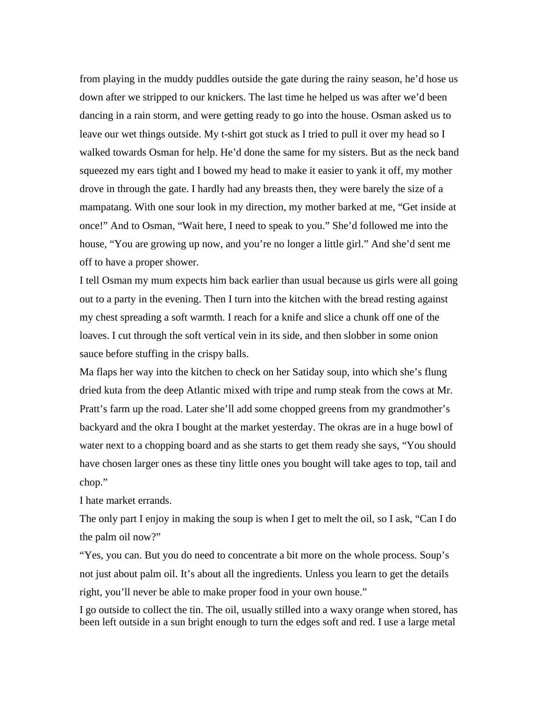from playing in the muddy puddles outside the gate during the rainy season, he'd hose us down after we stripped to our knickers. The last time he helped us was after we'd been dancing in a rain storm, and were getting ready to go into the house. Osman asked us to leave our wet things outside. My t-shirt got stuck as I tried to pull it over my head so I walked towards Osman for help. He'd done the same for my sisters. But as the neck band squeezed my ears tight and I bowed my head to make it easier to yank it off, my mother drove in through the gate. I hardly had any breasts then, they were barely the size of a mampatang. With one sour look in my direction, my mother barked at me, "Get inside at once!" And to Osman, "Wait here, I need to speak to you." She'd followed me into the house, "You are growing up now, and you're no longer a little girl." And she'd sent me off to have a proper shower.

I tell Osman my mum expects him back earlier than usual because us girls were all going out to a party in the evening. Then I turn into the kitchen with the bread resting against my chest spreading a soft warmth. I reach for a knife and slice a chunk off one of the loaves. I cut through the soft vertical vein in its side, and then slobber in some onion sauce before stuffing in the crispy balls.

Ma flaps her way into the kitchen to check on her Satiday soup, into which she's flung dried kuta from the deep Atlantic mixed with tripe and rump steak from the cows at Mr. Pratt's farm up the road. Later she'll add some chopped greens from my grandmother's backyard and the okra I bought at the market yesterday. The okras are in a huge bowl of water next to a chopping board and as she starts to get them ready she says, "You should have chosen larger ones as these tiny little ones you bought will take ages to top, tail and chop."

I hate market errands.

The only part I enjoy in making the soup is when I get to melt the oil, so I ask, "Can I do the palm oil now?"

"Yes, you can. But you do need to concentrate a bit more on the whole process. Soup's not just about palm oil. It's about all the ingredients. Unless you learn to get the details right, you'll never be able to make proper food in your own house."

I go outside to collect the tin. The oil, usually stilled into a waxy orange when stored, has been left outside in a sun bright enough to turn the edges soft and red. I use a large metal